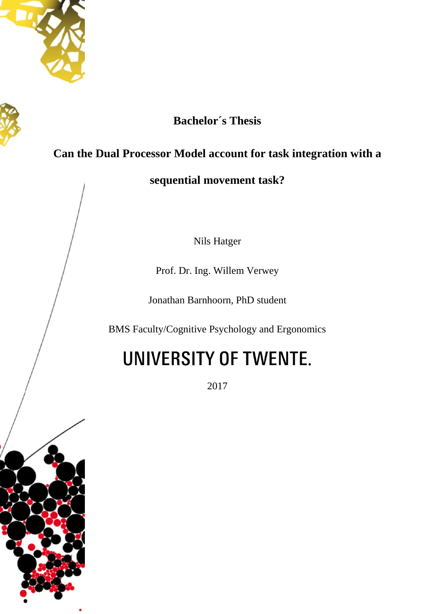



# **Bachelor´s Thesis**

# **Can the Dual Processor Model account for task integration with a**

**sequential movement task?**

Nils Hatger

Prof. Dr. Ing. Willem Verwey

Jonathan Barnhoorn, PhD student

BMS Faculty/Cognitive Psychology and Ergonomics

# UNIVERSITY OF TWENTE.

2017

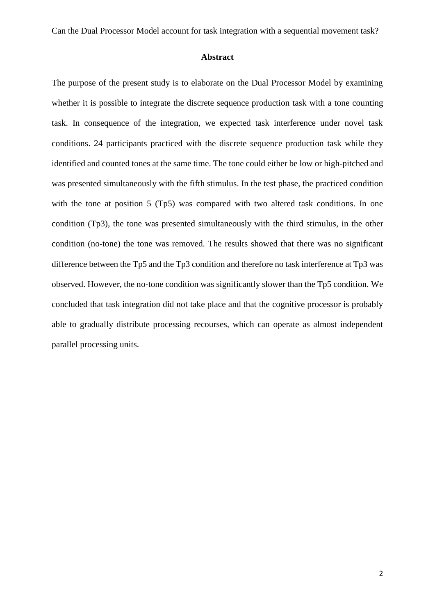# **Abstract**

The purpose of the present study is to elaborate on the Dual Processor Model by examining whether it is possible to integrate the discrete sequence production task with a tone counting task. In consequence of the integration, we expected task interference under novel task conditions. 24 participants practiced with the discrete sequence production task while they identified and counted tones at the same time. The tone could either be low or high-pitched and was presented simultaneously with the fifth stimulus. In the test phase, the practiced condition with the tone at position 5 (Tp5) was compared with two altered task conditions. In one condition (Tp3), the tone was presented simultaneously with the third stimulus, in the other condition (no-tone) the tone was removed. The results showed that there was no significant difference between the Tp5 and the Tp3 condition and therefore no task interference at Tp3 was observed. However, the no-tone condition was significantly slower than the Tp5 condition. We concluded that task integration did not take place and that the cognitive processor is probably able to gradually distribute processing recourses, which can operate as almost independent parallel processing units.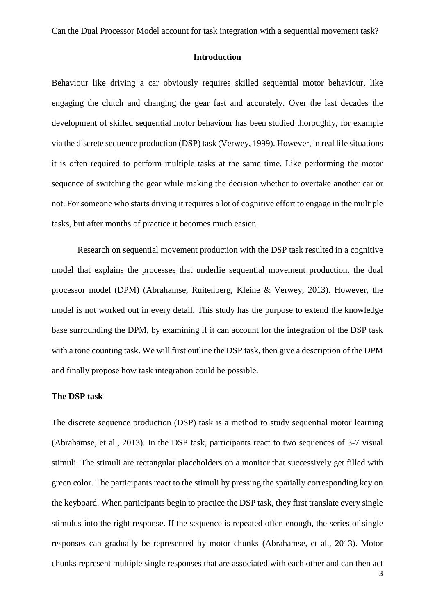# **Introduction**

Behaviour like driving a car obviously requires skilled sequential motor behaviour, like engaging the clutch and changing the gear fast and accurately. Over the last decades the development of skilled sequential motor behaviour has been studied thoroughly, for example via the discrete sequence production (DSP) task (Verwey, 1999). However, in real life situations it is often required to perform multiple tasks at the same time. Like performing the motor sequence of switching the gear while making the decision whether to overtake another car or not. For someone who starts driving it requires a lot of cognitive effort to engage in the multiple tasks, but after months of practice it becomes much easier.

Research on sequential movement production with the DSP task resulted in a cognitive model that explains the processes that underlie sequential movement production, the dual processor model (DPM) (Abrahamse, Ruitenberg, Kleine & Verwey, 2013). However, the model is not worked out in every detail. This study has the purpose to extend the knowledge base surrounding the DPM, by examining if it can account for the integration of the DSP task with a tone counting task. We will first outline the DSP task, then give a description of the DPM and finally propose how task integration could be possible.

# **The DSP task**

The discrete sequence production (DSP) task is a method to study sequential motor learning (Abrahamse, et al., 2013). In the DSP task, participants react to two sequences of 3-7 visual stimuli. The stimuli are rectangular placeholders on a monitor that successively get filled with green color. The participants react to the stimuli by pressing the spatially corresponding key on the keyboard. When participants begin to practice the DSP task, they first translate every single stimulus into the right response. If the sequence is repeated often enough, the series of single responses can gradually be represented by motor chunks (Abrahamse, et al., 2013). Motor chunks represent multiple single responses that are associated with each other and can then act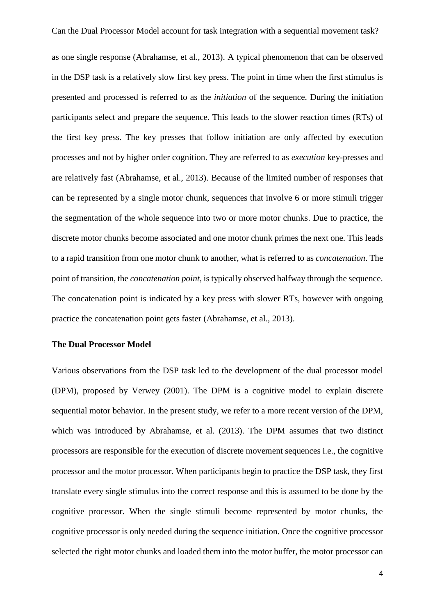as one single response (Abrahamse, et al., 2013). A typical phenomenon that can be observed in the DSP task is a relatively slow first key press. The point in time when the first stimulus is presented and processed is referred to as the *initiation* of the sequence. During the initiation participants select and prepare the sequence. This leads to the slower reaction times (RTs) of the first key press. The key presses that follow initiation are only affected by execution processes and not by higher order cognition. They are referred to as *execution* key-presses and are relatively fast (Abrahamse, et al., 2013). Because of the limited number of responses that can be represented by a single motor chunk, sequences that involve 6 or more stimuli trigger the segmentation of the whole sequence into two or more motor chunks. Due to practice, the discrete motor chunks become associated and one motor chunk primes the next one. This leads to a rapid transition from one motor chunk to another, what is referred to as *concatenation*. The point of transition, the *concatenation point*, is typically observed halfway through the sequence. The concatenation point is indicated by a key press with slower RTs, however with ongoing practice the concatenation point gets faster (Abrahamse, et al., 2013).

# **The Dual Processor Model**

Various observations from the DSP task led to the development of the dual processor model (DPM), proposed by Verwey (2001). The DPM is a cognitive model to explain discrete sequential motor behavior. In the present study, we refer to a more recent version of the DPM, which was introduced by Abrahamse, et al. (2013). The DPM assumes that two distinct processors are responsible for the execution of discrete movement sequences i.e., the cognitive processor and the motor processor. When participants begin to practice the DSP task, they first translate every single stimulus into the correct response and this is assumed to be done by the cognitive processor. When the single stimuli become represented by motor chunks, the cognitive processor is only needed during the sequence initiation. Once the cognitive processor selected the right motor chunks and loaded them into the motor buffer, the motor processor can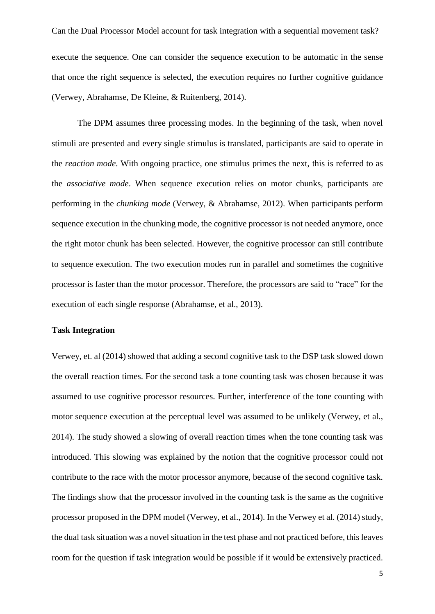Can the Dual Processor Model account for task integration with a sequential movement task? execute the sequence. One can consider the sequence execution to be automatic in the sense that once the right sequence is selected, the execution requires no further cognitive guidance (Verwey, Abrahamse, De Kleine, & Ruitenberg, 2014).

The DPM assumes three processing modes. In the beginning of the task, when novel stimuli are presented and every single stimulus is translated, participants are said to operate in the *reaction mode*. With ongoing practice, one stimulus primes the next, this is referred to as the *associative mode*. When sequence execution relies on motor chunks, participants are performing in the *chunking mode* (Verwey, & Abrahamse, 2012). When participants perform sequence execution in the chunking mode, the cognitive processor is not needed anymore, once the right motor chunk has been selected. However, the cognitive processor can still contribute to sequence execution. The two execution modes run in parallel and sometimes the cognitive processor is faster than the motor processor. Therefore, the processors are said to "race" for the execution of each single response (Abrahamse, et al., 2013).

# **Task Integration**

Verwey, et. al (2014) showed that adding a second cognitive task to the DSP task slowed down the overall reaction times. For the second task a tone counting task was chosen because it was assumed to use cognitive processor resources. Further, interference of the tone counting with motor sequence execution at the perceptual level was assumed to be unlikely (Verwey, et al., 2014). The study showed a slowing of overall reaction times when the tone counting task was introduced. This slowing was explained by the notion that the cognitive processor could not contribute to the race with the motor processor anymore, because of the second cognitive task. The findings show that the processor involved in the counting task is the same as the cognitive processor proposed in the DPM model (Verwey, et al., 2014). In the Verwey et al. (2014) study, the dual task situation was a novel situation in the test phase and not practiced before, this leaves room for the question if task integration would be possible if it would be extensively practiced.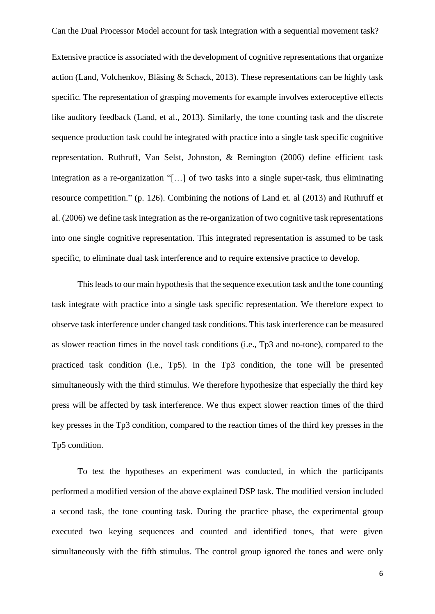Extensive practice is associated with the development of cognitive representations that organize action (Land, Volchenkov, Bläsing & Schack, 2013). These representations can be highly task specific. The representation of grasping movements for example involves exteroceptive effects like auditory feedback (Land, et al., 2013). Similarly, the tone counting task and the discrete sequence production task could be integrated with practice into a single task specific cognitive representation. Ruthruff, Van Selst, Johnston, & Remington (2006) define efficient task integration as a re-organization "[…] of two tasks into a single super-task, thus eliminating resource competition." (p. 126). Combining the notions of Land et. al (2013) and Ruthruff et al. (2006) we define task integration as the re-organization of two cognitive task representations into one single cognitive representation. This integrated representation is assumed to be task specific, to eliminate dual task interference and to require extensive practice to develop.

This leads to our main hypothesis that the sequence execution task and the tone counting task integrate with practice into a single task specific representation. We therefore expect to observe task interference under changed task conditions. This task interference can be measured as slower reaction times in the novel task conditions (i.e., Tp3 and no-tone), compared to the practiced task condition (i.e., Tp5). In the Tp3 condition, the tone will be presented simultaneously with the third stimulus. We therefore hypothesize that especially the third key press will be affected by task interference. We thus expect slower reaction times of the third key presses in the Tp3 condition, compared to the reaction times of the third key presses in the Tp5 condition.

To test the hypotheses an experiment was conducted, in which the participants performed a modified version of the above explained DSP task. The modified version included a second task, the tone counting task. During the practice phase, the experimental group executed two keying sequences and counted and identified tones, that were given simultaneously with the fifth stimulus. The control group ignored the tones and were only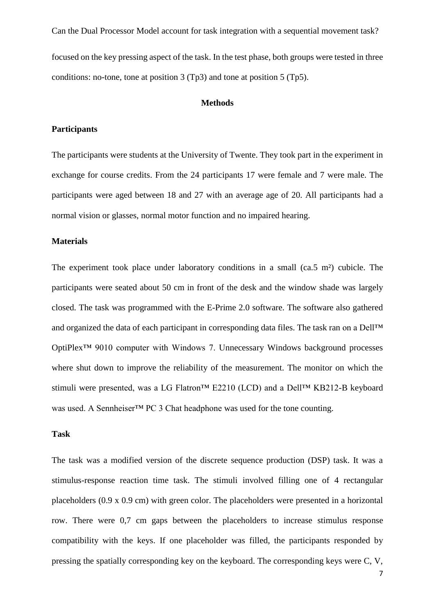Can the Dual Processor Model account for task integration with a sequential movement task? focused on the key pressing aspect of the task. In the test phase, both groups were tested in three conditions: no-tone, tone at position 3 (Tp3) and tone at position 5 (Tp5).

# **Methods**

# **Participants**

The participants were students at the University of Twente. They took part in the experiment in exchange for course credits. From the 24 participants 17 were female and 7 were male. The participants were aged between 18 and 27 with an average age of 20. All participants had a normal vision or glasses, normal motor function and no impaired hearing.

#### **Materials**

The experiment took place under laboratory conditions in a small (ca.5 m²) cubicle. The participants were seated about 50 cm in front of the desk and the window shade was largely closed. The task was programmed with the E-Prime 2.0 software. The software also gathered and organized the data of each participant in corresponding data files. The task ran on a Dell™ OptiPlex™ 9010 computer with Windows 7. Unnecessary Windows background processes where shut down to improve the reliability of the measurement. The monitor on which the stimuli were presented, was a LG Flatron<sup>™</sup> E2210 (LCD) and a Dell™ KB212-B keyboard was used. A Sennheiser™ PC 3 Chat headphone was used for the tone counting.

#### **Task**

The task was a modified version of the discrete sequence production (DSP) task. It was a stimulus-response reaction time task. The stimuli involved filling one of 4 rectangular placeholders (0.9 x 0.9 cm) with green color. The placeholders were presented in a horizontal row. There were 0,7 cm gaps between the placeholders to increase stimulus response compatibility with the keys. If one placeholder was filled, the participants responded by pressing the spatially corresponding key on the keyboard. The corresponding keys were C, V,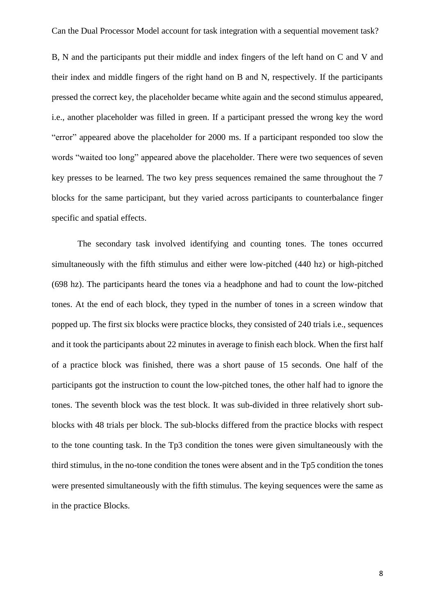B, N and the participants put their middle and index fingers of the left hand on C and V and their index and middle fingers of the right hand on B and N, respectively. If the participants pressed the correct key, the placeholder became white again and the second stimulus appeared, i.e., another placeholder was filled in green. If a participant pressed the wrong key the word "error" appeared above the placeholder for 2000 ms. If a participant responded too slow the words "waited too long" appeared above the placeholder. There were two sequences of seven key presses to be learned. The two key press sequences remained the same throughout the 7 blocks for the same participant, but they varied across participants to counterbalance finger specific and spatial effects.

The secondary task involved identifying and counting tones. The tones occurred simultaneously with the fifth stimulus and either were low-pitched (440 hz) or high-pitched (698 hz). The participants heard the tones via a headphone and had to count the low-pitched tones. At the end of each block, they typed in the number of tones in a screen window that popped up. The first six blocks were practice blocks, they consisted of 240 trials i.e., sequences and it took the participants about 22 minutes in average to finish each block. When the first half of a practice block was finished, there was a short pause of 15 seconds. One half of the participants got the instruction to count the low-pitched tones, the other half had to ignore the tones. The seventh block was the test block. It was sub-divided in three relatively short subblocks with 48 trials per block. The sub-blocks differed from the practice blocks with respect to the tone counting task. In the Tp3 condition the tones were given simultaneously with the third stimulus, in the no-tone condition the tones were absent and in the Tp5 condition the tones were presented simultaneously with the fifth stimulus. The keying sequences were the same as in the practice Blocks.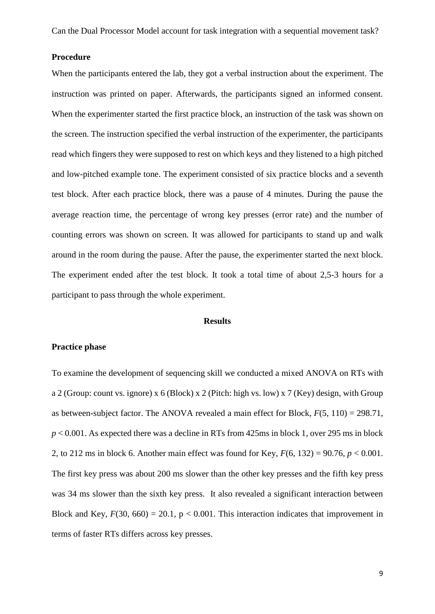# **Procedure**

When the participants entered the lab, they got a verbal instruction about the experiment. The instruction was printed on paper. Afterwards, the participants signed an informed consent. When the experimenter started the first practice block, an instruction of the task was shown on the screen. The instruction specified the verbal instruction of the experimenter, the participants read which fingers they were supposed to rest on which keys and they listened to a high pitched and low-pitched example tone. The experiment consisted of six practice blocks and a seventh test block. After each practice block, there was a pause of 4 minutes. During the pause the average reaction time, the percentage of wrong key presses (error rate) and the number of counting errors was shown on screen. It was allowed for participants to stand up and walk around in the room during the pause. After the pause, the experimenter started the next block. The experiment ended after the test block. It took a total time of about 2,5-3 hours for a participant to pass through the whole experiment.

# **Results**

# **Practice phase**

To examine the development of sequencing skill we conducted a mixed ANOVA on RTs with a 2 (Group: count vs. ignore) x 6 (Block) x 2 (Pitch: high vs. low) x 7 (Key) design, with Group as between-subject factor. The ANOVA revealed a main effect for Block, *F*(5, 110) = 298.71, *p* < 0.001. As expected there was a decline in RTs from 425ms in block 1, over 295 ms in block 2, to 212 ms in block 6. Another main effect was found for Key, *F*(6, 132) = 90.76, *p* < 0.001. The first key press was about 200 ms slower than the other key presses and the fifth key press was 34 ms slower than the sixth key press. It also revealed a significant interaction between Block and Key,  $F(30, 660) = 20.1$ ,  $p < 0.001$ . This interaction indicates that improvement in terms of faster RTs differs across key presses.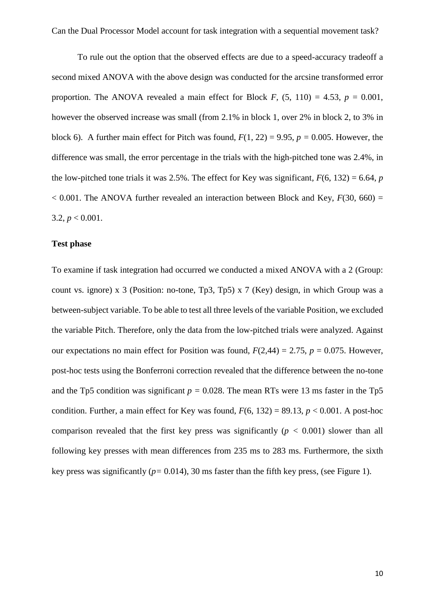To rule out the option that the observed effects are due to a speed-accuracy tradeoff a second mixed ANOVA with the above design was conducted for the arcsine transformed error proportion. The ANOVA revealed a main effect for Block *F*,  $(5, 110) = 4.53$ ,  $p = 0.001$ , however the observed increase was small (from 2.1% in block 1, over 2% in block 2, to 3% in block 6). A further main effect for Pitch was found,  $F(1, 22) = 9.95$ ,  $p = 0.005$ . However, the difference was small, the error percentage in the trials with the high-pitched tone was 2.4%, in the low-pitched tone trials it was 2.5%. The effect for Key was significant,  $F(6, 132) = 6.64$ , *p*  $< 0.001$ . The ANOVA further revealed an interaction between Block and Key,  $F(30, 660) =$ 3.2,  $p < 0.001$ .

# **Test phase**

To examine if task integration had occurred we conducted a mixed ANOVA with a 2 (Group: count vs. ignore) x 3 (Position: no-tone, Tp3, Tp5) x 7 (Key) design, in which Group was a between-subject variable. To be able to test all three levels of the variable Position, we excluded the variable Pitch. Therefore, only the data from the low-pitched trials were analyzed. Against our expectations no main effect for Position was found,  $F(2,44) = 2.75$ ,  $p = 0.075$ . However, post-hoc tests using the Bonferroni correction revealed that the difference between the no-tone and the Tp5 condition was significant  $p = 0.028$ . The mean RTs were 13 ms faster in the Tp5 condition. Further, a main effect for Key was found,  $F(6, 132) = 89.13$ ,  $p < 0.001$ . A post-hoc comparison revealed that the first key press was significantly ( $p < 0.001$ ) slower than all following key presses with mean differences from 235 ms to 283 ms. Furthermore, the sixth key press was significantly ( $p = 0.014$ ), 30 ms faster than the fifth key press, (see Figure 1).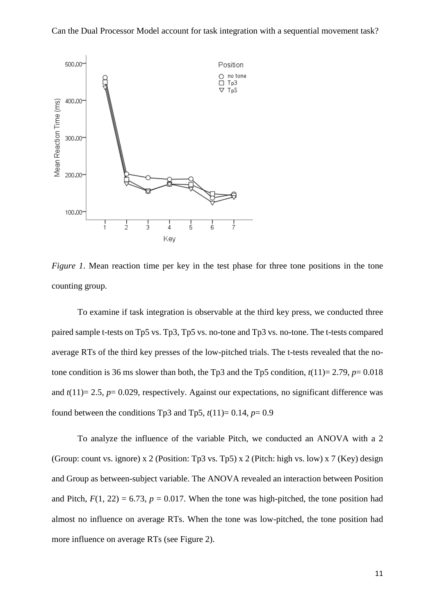

*Figure 1*. Mean reaction time per key in the test phase for three tone positions in the tone counting group.

To examine if task integration is observable at the third key press, we conducted three paired sample t-tests on Tp5 vs. Tp3, Tp5 vs. no-tone and Tp3 vs. no-tone. The t-tests compared average RTs of the third key presses of the low-pitched trials. The t-tests revealed that the notone condition is 36 ms slower than both, the Tp3 and the Tp5 condition,  $t(11)=2.79$ ,  $p=0.018$ and  $t(11)= 2.5$ ,  $p= 0.029$ , respectively. Against our expectations, no significant difference was found between the conditions Tp3 and Tp5,  $t(11)=0.14$ ,  $p=0.9$ 

To analyze the influence of the variable Pitch, we conducted an ANOVA with a 2 (Group: count vs. ignore) x 2 (Position: Tp3 vs. Tp5) x 2 (Pitch: high vs. low) x 7 (Key) design and Group as between-subject variable. The ANOVA revealed an interaction between Position and Pitch,  $F(1, 22) = 6.73$ ,  $p = 0.017$ . When the tone was high-pitched, the tone position had almost no influence on average RTs. When the tone was low-pitched, the tone position had more influence on average RTs (see Figure 2).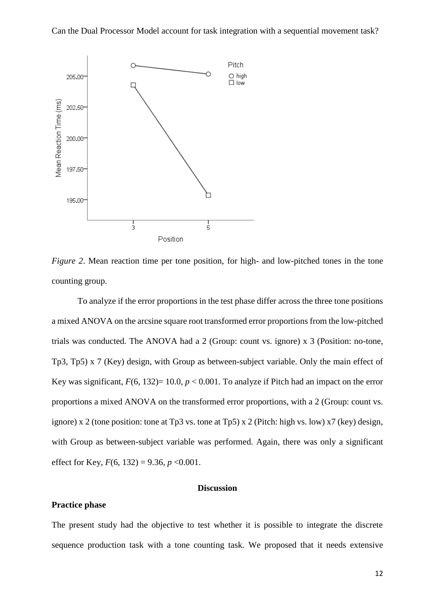

*Figure 2*. Mean reaction time per tone position, for high- and low-pitched tones in the tone counting group.

To analyze if the error proportions in the test phase differ across the three tone positions a mixed ANOVA on the arcsine square root transformed error proportions from the low-pitched trials was conducted. The ANOVA had a 2 (Group: count vs. ignore) x 3 (Position: no-tone, Tp3, Tp5) x 7 (Key) design, with Group as between-subject variable. Only the main effect of Key was significant,  $F(6, 132)=10.0, p < 0.001$ . To analyze if Pitch had an impact on the error proportions a mixed ANOVA on the transformed error proportions, with a 2 (Group: count vs. ignore) x 2 (tone position: tone at Tp3 vs. tone at Tp5) x 2 (Pitch: high vs. low) x7 (key) design, with Group as between-subject variable was performed. Again, there was only a significant effect for Key, *F*(6, 132) = 9.36, *p* <0.001.

### **Discussion**

# **Practice phase**

The present study had the objective to test whether it is possible to integrate the discrete sequence production task with a tone counting task. We proposed that it needs extensive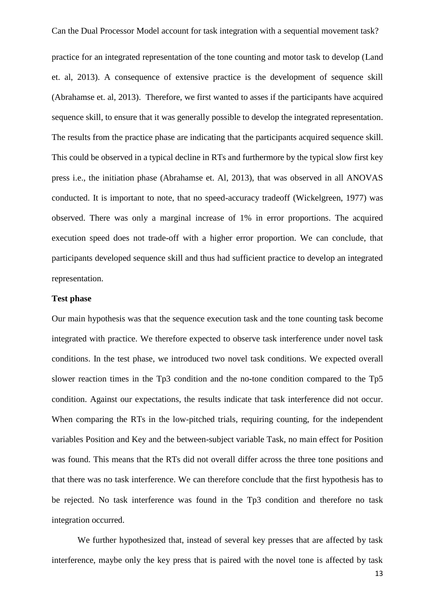practice for an integrated representation of the tone counting and motor task to develop (Land et. al, 2013). A consequence of extensive practice is the development of sequence skill (Abrahamse et. al, 2013). Therefore, we first wanted to asses if the participants have acquired sequence skill, to ensure that it was generally possible to develop the integrated representation. The results from the practice phase are indicating that the participants acquired sequence skill. This could be observed in a typical decline in RTs and furthermore by the typical slow first key press i.e., the initiation phase (Abrahamse et. Al, 2013), that was observed in all ANOVAS conducted. It is important to note, that no speed-accuracy tradeoff (Wickelgreen, 1977) was observed. There was only a marginal increase of 1% in error proportions. The acquired execution speed does not trade-off with a higher error proportion. We can conclude, that participants developed sequence skill and thus had sufficient practice to develop an integrated representation.

# **Test phase**

Our main hypothesis was that the sequence execution task and the tone counting task become integrated with practice. We therefore expected to observe task interference under novel task conditions. In the test phase, we introduced two novel task conditions. We expected overall slower reaction times in the Tp3 condition and the no-tone condition compared to the Tp5 condition. Against our expectations, the results indicate that task interference did not occur. When comparing the RTs in the low-pitched trials, requiring counting, for the independent variables Position and Key and the between-subject variable Task, no main effect for Position was found. This means that the RTs did not overall differ across the three tone positions and that there was no task interference. We can therefore conclude that the first hypothesis has to be rejected. No task interference was found in the Tp3 condition and therefore no task integration occurred.

We further hypothesized that, instead of several key presses that are affected by task interference, maybe only the key press that is paired with the novel tone is affected by task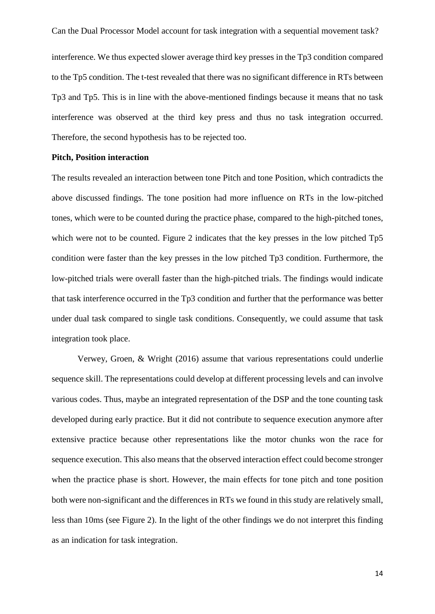interference. We thus expected slower average third key presses in the Tp3 condition compared to the Tp5 condition. The t-test revealed that there was no significant difference in RTs between Tp3 and Tp5. This is in line with the above-mentioned findings because it means that no task interference was observed at the third key press and thus no task integration occurred. Therefore, the second hypothesis has to be rejected too.

#### **Pitch, Position interaction**

The results revealed an interaction between tone Pitch and tone Position, which contradicts the above discussed findings. The tone position had more influence on RTs in the low-pitched tones, which were to be counted during the practice phase, compared to the high-pitched tones, which were not to be counted. Figure 2 indicates that the key presses in the low pitched Tp5 condition were faster than the key presses in the low pitched Tp3 condition. Furthermore, the low-pitched trials were overall faster than the high-pitched trials. The findings would indicate that task interference occurred in the Tp3 condition and further that the performance was better under dual task compared to single task conditions. Consequently, we could assume that task integration took place.

Verwey, Groen, & Wright (2016) assume that various representations could underlie sequence skill. The representations could develop at different processing levels and can involve various codes. Thus, maybe an integrated representation of the DSP and the tone counting task developed during early practice. But it did not contribute to sequence execution anymore after extensive practice because other representations like the motor chunks won the race for sequence execution. This also means that the observed interaction effect could become stronger when the practice phase is short. However, the main effects for tone pitch and tone position both were non-significant and the differences in RTs we found in this study are relatively small, less than 10ms (see Figure 2). In the light of the other findings we do not interpret this finding as an indication for task integration.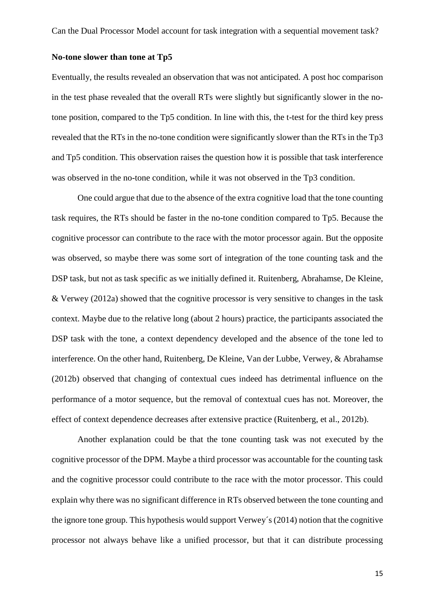# **No-tone slower than tone at Tp5**

Eventually, the results revealed an observation that was not anticipated. A post hoc comparison in the test phase revealed that the overall RTs were slightly but significantly slower in the notone position, compared to the Tp5 condition. In line with this, the t-test for the third key press revealed that the RTs in the no-tone condition were significantly slower than the RTs in the Tp3 and Tp5 condition. This observation raises the question how it is possible that task interference was observed in the no-tone condition, while it was not observed in the Tp3 condition.

One could argue that due to the absence of the extra cognitive load that the tone counting task requires, the RTs should be faster in the no-tone condition compared to Tp5. Because the cognitive processor can contribute to the race with the motor processor again. But the opposite was observed, so maybe there was some sort of integration of the tone counting task and the DSP task, but not as task specific as we initially defined it. Ruitenberg, Abrahamse, De Kleine, & Verwey (2012a) showed that the cognitive processor is very sensitive to changes in the task context. Maybe due to the relative long (about 2 hours) practice, the participants associated the DSP task with the tone, a context dependency developed and the absence of the tone led to interference. On the other hand, Ruitenberg, De Kleine, Van der Lubbe, Verwey, & Abrahamse (2012b) observed that changing of contextual cues indeed has detrimental influence on the performance of a motor sequence, but the removal of contextual cues has not. Moreover, the effect of context dependence decreases after extensive practice (Ruitenberg, et al., 2012b).

Another explanation could be that the tone counting task was not executed by the cognitive processor of the DPM. Maybe a third processor was accountable for the counting task and the cognitive processor could contribute to the race with the motor processor. This could explain why there was no significant difference in RTs observed between the tone counting and the ignore tone group. This hypothesis would support Verwey´s (2014) notion that the cognitive processor not always behave like a unified processor, but that it can distribute processing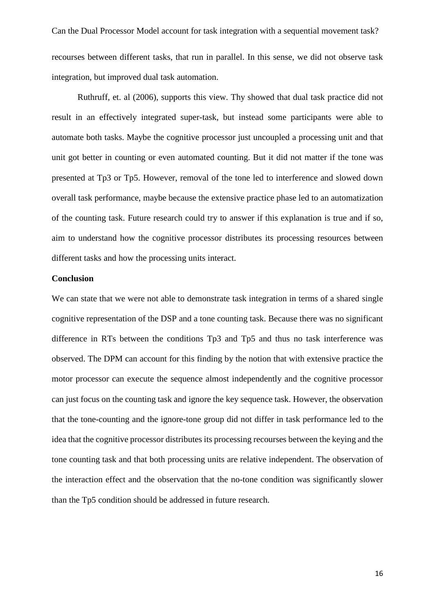Can the Dual Processor Model account for task integration with a sequential movement task? recourses between different tasks, that run in parallel. In this sense, we did not observe task integration, but improved dual task automation.

Ruthruff, et. al (2006), supports this view. Thy showed that dual task practice did not result in an effectively integrated super-task, but instead some participants were able to automate both tasks. Maybe the cognitive processor just uncoupled a processing unit and that unit got better in counting or even automated counting. But it did not matter if the tone was presented at Tp3 or Tp5. However, removal of the tone led to interference and slowed down overall task performance, maybe because the extensive practice phase led to an automatization of the counting task. Future research could try to answer if this explanation is true and if so, aim to understand how the cognitive processor distributes its processing resources between different tasks and how the processing units interact.

### **Conclusion**

We can state that we were not able to demonstrate task integration in terms of a shared single cognitive representation of the DSP and a tone counting task. Because there was no significant difference in RTs between the conditions Tp3 and Tp5 and thus no task interference was observed. The DPM can account for this finding by the notion that with extensive practice the motor processor can execute the sequence almost independently and the cognitive processor can just focus on the counting task and ignore the key sequence task. However, the observation that the tone-counting and the ignore-tone group did not differ in task performance led to the idea that the cognitive processor distributes its processing recourses between the keying and the tone counting task and that both processing units are relative independent. The observation of the interaction effect and the observation that the no-tone condition was significantly slower than the Tp5 condition should be addressed in future research.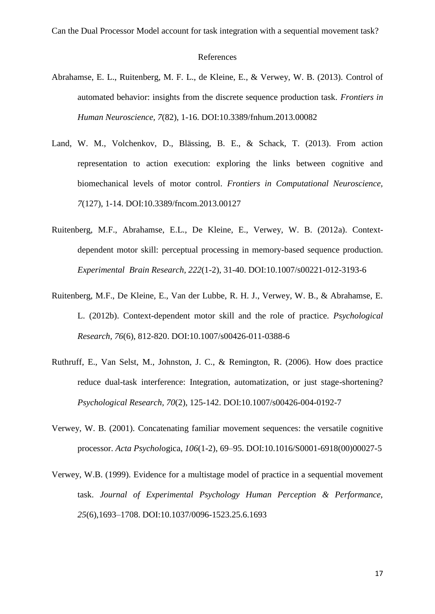## References

- Abrahamse, E. L., Ruitenberg, M. F. L., de Kleine, E., & Verwey, W. B. (2013). Control of automated behavior: insights from the discrete sequence production task. *Frontiers in Human Neuroscience, 7*(82), 1-16. DOI:10.3389/fnhum.2013.00082
- Land, W. M., Volchenkov, D., Blässing, B. E., & Schack, T. (2013). From action representation to action execution: exploring the links between cognitive and biomechanical levels of motor control. *Frontiers in Computational Neuroscience, 7*(127), 1-14. DOI:10.3389/fncom.2013.00127
- Ruitenberg, M.F., Abrahamse, E.L., De Kleine, E., Verwey, W. B. (2012a). Contextdependent motor skill: perceptual processing in memory-based sequence production. *Experimental Brain Research, 222*(1-2), 31-40. DOI:10.1007/s00221-012-3193-6
- Ruitenberg, M.F., De Kleine, E., Van der Lubbe, R. H. J., Verwey, W. B., & Abrahamse, E. L. (2012b). Context-dependent motor skill and the role of practice. *Psychological Research, 76*(6), 812-820. DOI:10.1007/s00426-011-0388-6
- Ruthruff, E., Van Selst, M., Johnston, J. C., & Remington, R. (2006). How does practice reduce dual-task interference: Integration, automatization, or just stage-shortening? *Psychological Research, 70*(2), 125-142. DOI:10.1007/s00426-004-0192-7
- Verwey, W. B. (2001). Concatenating familiar movement sequences: the versatile cognitive processor. *Acta Psychol*ogica, *106*(1-2), 69–95. DOI:10.1016/S0001-6918(00)00027-5
- Verwey, W.B. (1999). Evidence for a multistage model of practice in a sequential movement task. *Journal of Experimental Psychology Human Perception & Performance, 25*(6),1693–1708. DOI:10.1037/0096-1523.25.6.1693